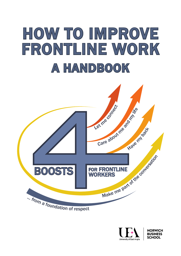# HOW TO IMPROVE FRONTLINE WORK A HANDBOOK





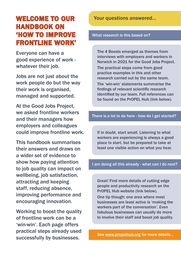# WELCOME TO OUR HANDBOOK ON 'HOW TO IMPROVE FRONTLINE WORK'

Everyone can have a good experience of work whatever their job.

Jobs are not just about the work people do but the way their work is organised, managed and supported.

At the Good Jobs Project, we asked frontline workers and their managers how employers and colleagues could improve frontline work.

This handbook summarises their answers and draws on a wider set of evidence to show how paying attention to job quality can impact on wellbeing, job satisfaction, attracting and keeping staff, reducing absence, improving performance and encouraging innovation.

Working to boost the quality of frontline work can be a 'win-win'. Each page offers practical steps already used successfully by businesses.

Your questions answered...

What research is this based on?

The 4 Boosts emerged as themes from interviews with employers and workers in Norwich in 2021 for the Good Jobs Project. The practical steps come from good practice examples in this and other research carried out by the same team. The 'win-win' statements summarise the findings of relevant scientific research identified by our team. Full references can be found on the PrOPEL Hub (link below).

#### There is a lot to do here - how do I get started?

If in doubt, start small. Listening to what workers are experiencing is always a good place to start, but be prepared to take at least one visible action on what you hear.

I am doing all this already - what can I do next?

Great! Find more details of cutting edge people and productivity research on the PrOPEL Hub website (link below).

One tip though: one area where most businesses are least active is 'making the workers part of the conversation'. Even fabulous businesses can usually do more to involve their staff and boost job quality.

See [www.propelhub.org](http://www.propelhub.org) for more details...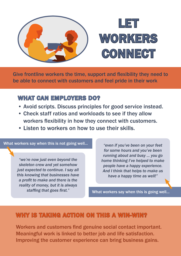

Give frontline workers the time, support and flexibility they need to be able to connect with customers and feel pride in their work

## WHAT CAN EMPLOYERS DO?

- Avoid scripts. Discuss principles for good service instead.
- Check staff ratios and workloads to see if they allow workers flexibility in how they connect with customers.
- Listen to workers on how to use their skills.

#### What workers say when this is not going well...

*"we're now just even beyond the skeleton crew and yet somehow just expected to continue. I say all this knowing that businesses have a profit to make and there is the reality of money, but it is always staffing that goes first."*

*"even if you've been on your feet for some hours and you've been running about and busy ... you go home thinking I've helped to make people have a happy experience. And I think that helps to make us have a happy time as well!"*

What workers say when this is going well...

## WHY IS TAKING ACTION ON THIS A WIN-WIN?

Workers and customers find genuine social contact important. Meaningful work is linked to better job and life satisfaction. Improving the customer experience can bring business gains.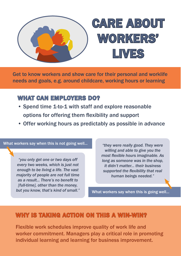

Get to know workers and show care for their personal and worklife needs and goals, e.g. around childcare, working hours or learning

## WHAT CAN EMPLOYERS DO?

- Spend time 1-to-1 with staff and explore reasonable options for offering them flexibility and support
- Offer working hours as predictably as possible in advance

#### What workers say when this is not going well...

*"you only get one or two days off every two weeks, which is just not enough to be living a life. The vast majority of people are not full time as a result... There's no benefit to [full-time], other than the money, but you know, that's kind of small."*

*"they were really good. They were willing and able to give you the most flexible hours imaginable. As long as someone was in the shop, it didn't matter... their business supported the flexibility that real human beings needed."*

What workers say when this is going well...

## WHY IS TAKING ACTION ON THIS A WIN-WIN?

Flexible work schedules improve quality of work life and worker commitment. Managers play a critical role in promoting individual learning and learning for business improvement.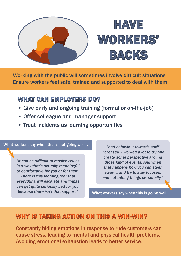

Working with the public will sometimes involve difficult situations Ensure workers feel safe, trained and supported to deal with them

## WHAT CAN EMPLOYERS DO?

- Give early and ongoing training (formal or on-the-job)
- Offer colleague and manager support
- Treat incidents as learning opportunities

#### What workers say when this is not going well...

*"it can be difficult to resolve issues in a way that's actually meaningful or comfortable for you or for them. There is this looming fear that everything will escalate and things can get quite seriously bad for you, because there isn't that support."*

*"bad behaviour towards staff increased. I worked a lot to try and create some perspective around those kind of events. And when that happens how you can steer away ... and try to stay focused, and not taking things personally."*

What workers say when this is going well...

## WHY IS TAKING ACTION ON THIS A WIN-WIN?

Constantly hiding emotions in response to rude customers can cause stress, leading to mental and physical health problems. Avoiding emotional exhaustion leads to better service.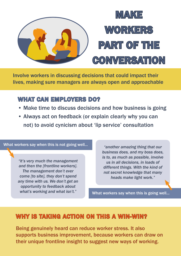

Involve workers in discussing decisions that could impact their lives, making sure managers are always open and approachable

## WHAT CAN EMPLOYERS DO?

- Make time to discuss decisions and how business is going
- Always act on feedback (or explain clearly why you can not) to avoid cynicism about 'lip service' consultation

What workers say when this is not going well...

*"it's very much the management and then the [frontline workers]. The management don't ever come [to site], they don't spend any time with us. We don't get an opportunity to feedback about what's working and what isn't."*

*"another amazing thing that our business does, and my boss does, is to, as much as possible, involve us in all decisions, in loads of different things. With the kind of not secret knowledge that many heads make light work."*

What workers say when this is going well...

## WHY IS TAKING ACTION ON THIS A WIN-WIN?

Being genuinely heard can reduce worker stress. It also supports business improvement, because workers can draw on their unique frontline insight to suggest new ways of working.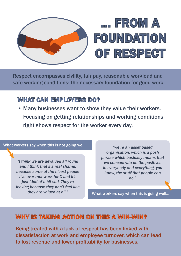

Respect encompasses civility, fair pay, reasonable workload and safe working conditions: the necessary foundation for good work

## WHAT CAN EMPLOYERS DO?

• Many businesses want to show they value their workers. Focusing on getting relationships and working conditions right shows respect for the worker every day.

#### What workers say when this is not going well...

*"I think we are devalued all round and I think that's a real shame, because some of the nicest people I've ever met work for X and it's just kind of a bit sad. They're leaving because they don't feel like they are valued at all."*

*"we're an asset based organisation, which is a posh phrase which basically means that we concentrate on the positives in everybody and everything, you know, the stuff that people can do."* 

What workers say when this is going well...

## WHY IS TAKING ACTION ON THIS A WIN-WIN?

Being treated with a lack of respect has been linked with dissatisfaction at work and employee turnover, which can lead to lost revenue and lower profitability for businesses.